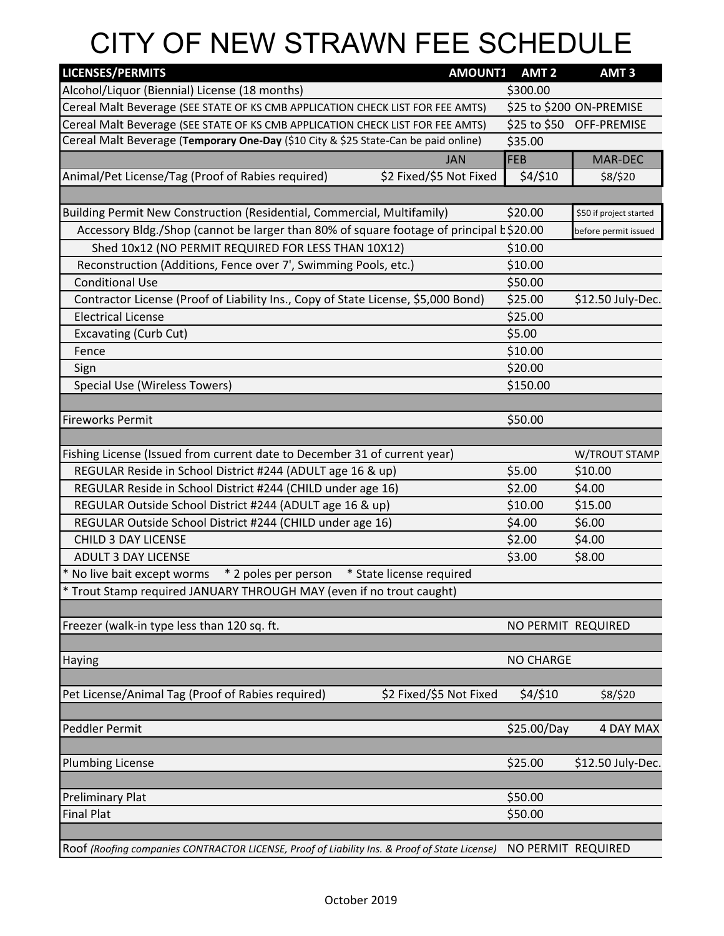## CITY OF NEW STRAWN FEE SCHEDULE

| <b>LICENSES/PERMITS</b>                                                                       | <b>AMOUNT1</b>          | AMT <sub>2</sub>   | AMT <sub>3</sub>         |  |
|-----------------------------------------------------------------------------------------------|-------------------------|--------------------|--------------------------|--|
| Alcohol/Liquor (Biennial) License (18 months)                                                 |                         | \$300.00           |                          |  |
| Cereal Malt Beverage (SEE STATE OF KS CMB APPLICATION CHECK LIST FOR FEE AMTS)                |                         |                    | \$25 to \$200 ON-PREMISE |  |
| Cereal Malt Beverage (SEE STATE OF KS CMB APPLICATION CHECK LIST FOR FEE AMTS)                |                         |                    | \$25 to \$50 OFF-PREMISE |  |
| Cereal Malt Beverage (Temporary One-Day (\$10 City & \$25 State-Can be paid online)           |                         | \$35.00            |                          |  |
|                                                                                               | <b>JAN</b>              | FEB                | MAR-DEC                  |  |
| \$2 Fixed/\$5 Not Fixed<br>Animal/Pet License/Tag (Proof of Rabies required)                  |                         | \$4/\$10           | \$8/\$20                 |  |
|                                                                                               |                         |                    |                          |  |
| Building Permit New Construction (Residential, Commercial, Multifamily)                       |                         | \$20.00            | \$50 if project started  |  |
| Accessory Bldg./Shop (cannot be larger than 80% of square footage of principal k\$20.00       |                         |                    | before permit issued     |  |
| Shed 10x12 (NO PERMIT REQUIRED FOR LESS THAN 10X12)                                           |                         | \$10.00            |                          |  |
| Reconstruction (Additions, Fence over 7', Swimming Pools, etc.)                               |                         | \$10.00            |                          |  |
| <b>Conditional Use</b>                                                                        |                         | \$50.00            |                          |  |
| Contractor License (Proof of Liability Ins., Copy of State License, \$5,000 Bond)             |                         | \$25.00            | \$12.50 July-Dec.        |  |
| <b>Electrical License</b>                                                                     |                         | \$25.00            |                          |  |
| <b>Excavating (Curb Cut)</b>                                                                  |                         | \$5.00             |                          |  |
| Fence                                                                                         |                         | \$10.00            |                          |  |
| Sign                                                                                          |                         | \$20.00            |                          |  |
| <b>Special Use (Wireless Towers)</b>                                                          |                         | \$150.00           |                          |  |
|                                                                                               |                         |                    |                          |  |
| <b>Fireworks Permit</b>                                                                       |                         | \$50.00            |                          |  |
|                                                                                               |                         |                    |                          |  |
| Fishing License (Issued from current date to December 31 of current year)                     |                         |                    | W/TROUT STAMP            |  |
| REGULAR Reside in School District #244 (ADULT age 16 & up)                                    |                         | \$5.00             | \$10.00                  |  |
| REGULAR Reside in School District #244 (CHILD under age 16)                                   |                         | \$2.00             | \$4.00                   |  |
| REGULAR Outside School District #244 (ADULT age 16 & up)                                      |                         | \$10.00            | \$15.00                  |  |
| REGULAR Outside School District #244 (CHILD under age 16)                                     |                         | \$4.00             | \$6.00                   |  |
| <b>CHILD 3 DAY LICENSE</b>                                                                    |                         | \$2.00             | \$4.00                   |  |
| <b>ADULT 3 DAY LICENSE</b>                                                                    |                         | \$3.00             | \$8.00                   |  |
| * 2 poles per person<br>* State license required<br>* No live bait except worms               |                         |                    |                          |  |
| * Trout Stamp required JANUARY THROUGH MAY (even if no trout caught)                          |                         |                    |                          |  |
|                                                                                               |                         |                    |                          |  |
| Freezer (walk-in type less than 120 sq. ft.                                                   |                         | NO PERMIT REQUIRED |                          |  |
|                                                                                               |                         |                    |                          |  |
| <b>Haying</b>                                                                                 |                         | <b>NO CHARGE</b>   |                          |  |
|                                                                                               |                         |                    |                          |  |
| Pet License/Animal Tag (Proof of Rabies required)                                             | \$2 Fixed/\$5 Not Fixed | \$4/\$10           | \$8/\$20                 |  |
|                                                                                               |                         |                    |                          |  |
| Peddler Permit                                                                                |                         | \$25.00/Day        | 4 DAY MAX                |  |
|                                                                                               |                         |                    |                          |  |
| <b>Plumbing License</b>                                                                       |                         | \$25.00            | \$12.50 July-Dec.        |  |
|                                                                                               |                         |                    |                          |  |
| <b>Preliminary Plat</b>                                                                       |                         | \$50.00            |                          |  |
| <b>Final Plat</b>                                                                             |                         | \$50.00            |                          |  |
|                                                                                               |                         |                    |                          |  |
| Roof (Roofing companies CONTRACTOR LICENSE, Proof of Liability Ins. & Proof of State License) |                         | NO PERMIT REQUIRED |                          |  |